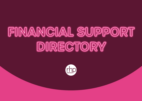## **FINANCIAL SUPPORT DIRECTORY**

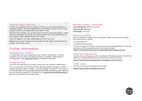#### Financial Support Directory

At RHP, we understand there are times when you may need a little extra financial support. We hope this directory will make it easier for you to get support quickly and easily when you need it most.

Website links will give you access to the most accurate information. They'll take you directly to the page you need and give you a full explanation of the support, who's eligible and how to apply.

Types of support can vary, depending on where you live.

Please let us know if there's anything else we can add to this directory to make it even more useful.

#### Further information

#### Managing your tenancy

It's important that you understand your tenancy agreement. If there's anything you are unsure of, please contact a member of the rents or housing team. Visit **[www.rhp.org.uk](http://www.rhp.org.uk)** or call 0800 032 2433.

#### Paying your rent

Your rent must be kept up to date, in line with your tenancy agreement.

You can pay your rent by Direct Debit, Standing Order, through your RHP online account or bank transfer – our bank details are below. If you receive Universal Credit or Housing Benefit and need help managing your finances, we can have this paid to us directly. Email: **[customer.services@rhp.org.uk](mailto:customer.services@rhp.org.uk)** Subject: UC/HB Direct Rent payments.

#### RHP Bank details – Lloyds Bank

**Account Name:** RHP Rent Income

**Account No:** 10864160

**Sort Code:** 30-80-12

#### Banking & Savings

As more people change over to Universal Credit, there are three things that need to be in place:

An email address

A mobile phone number

A bank account: Post Office card accounts are being phased out. This link will help you find a bank account that's right for you: **<https://www.thinkmoney.co.uk/campaign/basic-bank-accounts>**

#### What are Credit Unions?

Credit Unions will help you with a multitude of financial needs. This link will help you understand them and choose the one that suits you. **<https://www.findyourcreditunion.co.uk/about-credit-unions/>**

#### Credit Unions

Find the ones which are local to your area. **<https://www.findyourcreditunion.co.uk/>**

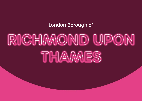### London Borough of

# RICHMOND UPON **THAMES**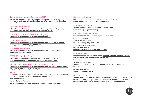#### Discretionary Housing Payments (DHP)

**[https://www.richmond.gov.uk/services/housing/help\\_with\\_paying\\_](https://www.richmond.gov.uk/services/housing/help_with_paying_your_rent_and_council_tax/housing_benefit/discretionary_housing_payments) [your\\_rent\\_and\\_council\\_tax/housing\\_benefit/discretionary\\_housing\\_](https://www.richmond.gov.uk/services/housing/help_with_paying_your_rent_and_council_tax/housing_benefit/discretionary_housing_payments) [payments](https://www.richmond.gov.uk/services/housing/help_with_paying_your_rent_and_council_tax/housing_benefit/discretionary_housing_payments)**

#### Housing Benefits (HB)

**[https://www.richmond.gov.uk/services/housing/help\\_with\\_paying\\_](https://www.richmond.gov.uk/services/housing/help_with_paying_your_rent_and_council_tax/make_a_benefit_claim)** vour rent and council tax/make a benefit claim

#### Council Tax/ Council Tax reduction (CTR)

**[https://www.richmond.gov.uk/services/council\\_tax](https://www.richmond.gov.uk/services/council_tax)**

#### Sponsored moves

**[https://www.richmond.gov.uk/services/housing/look\\_for\\_a\\_home/](https://www.richmond.gov.uk/services/housing/look_for_a_home/social_housing/moving_or_downsizing) [social\\_housing/moving\\_or\\_downsizing](https://www.richmond.gov.uk/services/housing/look_for_a_home/social_housing/moving_or_downsizing)**

#### Homeless Prevention

**[https://www.richmond.gov.uk/services/housing/homelessness/](https://www.richmond.gov.uk/services/housing/homelessness/preventing_homelessness) [preventing\\_homelessness](https://www.richmond.gov.uk/services/housing/homelessness/preventing_homelessness)**

#### COVID-19 Hardship Fund

Customers can self-nominate or go through a referral agency **[www.richmond.gov.uk/richmond\\_covid\\_19\\_hardship\\_fund](http://www.richmond.gov.uk/richmond_covid_19_hardship_fund)**

#### Local Assistance Crisis Loans/Budgeting Loans

**[https://www.richmond.gov.uk/services/housing/housing\\_grants/apply\\_](https://www.richmond.gov.uk/services/housing/housing_grants/apply_for_a_local_assistance_scheme_grant) [for\\_a\\_local\\_assistance\\_scheme\\_grant](https://www.richmond.gov.uk/services/housing/housing_grants/apply_for_a_local_assistance_scheme_grant)**

#### SPEAR

Support for those who are vulnerable. Resettling after incarceration; prison, long term hospital, hostel, homelessness, or addiction.

Debt management

Welfare Benefits Advice

**[www.spearlondon.org/our-services/tenancy-support-resettlement](http://www.spearlondon.org/our-services/tenancy-support-resettlement)**

#### Barnes workhouse

Referral through agency (RHP TSO team) criteria fairly strict **[www.thebarnesfund.org.uk/the-barnes-fund](http://www.thebarnesfund.org.uk/the-barnes-fund)**

#### Richmond Parish lands

Various financial support available, through grants **[www.rplc.org.uk/grant-making](http://www.rplc.org.uk/grant-making)**

#### Citizens Advice Richmond

Free confidential advice and support for everyone. Debt management Welfare Benefit advice Budgeting/Budgeting calculator Coronavirus money worries Employment advice **<https://www.citizensadvicerichmond.org/>**

#### Richmond Aid

Free confidential advice and support. **Specialising in support for those with physical and mental health disabilities.** Debt management Welfare Benefit advice Support with benefit backdating, reconsiderations, and appeals Budgeting Employment advice **[www.richmondaid.org.uk](http://www.richmondaid.org.uk)**

#### Hampton Fund

Support individuals and families on low income with a grant to help with the costs of gas and electricity; and voluntary sector organisations to provide services and activities for people in need. **[www.hamptonfund.co.uk](http://www.hamptonfund.co.uk)**

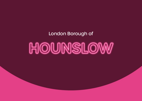### London Borough of

# **HOUNSLOW**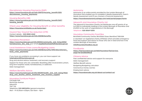#### Discretionary Housing Payments (DHP)

**[https://www.hounslow.gov.uk/info/20072/housing\\_benefit/1251/](https://www.hounslow.gov.uk/info/20072/housing_benefit/1251/discretionary_housing_payments) [discretionary\\_housing\\_payments](https://www.hounslow.gov.uk/info/20072/housing_benefit/1251/discretionary_housing_payments)**

#### Housing Benefits (HB)

**[https://www.hounslow.gov.uk/info/20072/housing\\_benefit/1247/](https://www.hounslow.gov.uk/info/20072/housing_benefit/1247/housing_benefitc) [housing\\_benefit](https://www.hounslow.gov.uk/info/20072/housing_benefit/1247/housing_benefitc)**

Check your eligibility for Housing Benefit or other benefits **<https://hounslow.entitledto.co.uk/home/start>**

#### Council Tax/ Council Tax reduction (CTR)

Contact details - **020 8583 4242 <https://www.hounslow.gov.uk/info/20058/benefits>**

#### Homeless Prevention

**[https://www.hounslow.gov.uk/info/20004/community\\_and\\_living/2052/](https://www.hounslow.gov.uk/info/20004/community_and_living/2052/homelessness_lets_stop_it) [homelessness\\_lets\\_stop\\_it](https://www.hounslow.gov.uk/info/20004/community_and_living/2052/homelessness_lets_stop_it)** or email **[stopitbeforeitstarts@hounslow.gov.uk](mailto:stopitbeforeitstarts%40hounslow.gov.uk?subject=)**

#### Local Assistance Crisis Loans/Budgeting Loans

**[https://www.hounslow.gov.uk/info/20058/benefits/1493/discretionary\\_](https://www.hounslow.gov.uk/info/20058/benefits/1493/discretionary_local_crisis_payments) [local\\_crisis\\_payments](https://www.hounslow.gov.uk/info/20058/benefits/1493/discretionary_local_crisis_payments)**

If you have any problems accessing it, you can have support via **[helpinghand@hounslow.gov.uk](mailto:helpinghand@hounslow.gov.uk)**

Drug and alcohol advice, treatment, and recovery support

Support for those who are vulnerable. Resettling after incarceration; prison, long term hospital, hostel, homelessness, or addiction.

Debt management

#### Welfare Benefits Advice

**[https://www.hounslow.gov.uk/info/20049/health\\_and\\_well\\_being/1922/](https://www.hounslow.gov.uk/info/20049/health_and_well_being/1922/drug_and_alcohol_advice_treatment_and_recovery_support) [drug\\_and\\_alcohol\\_advice\\_treatment\\_and\\_recovery\\_support](https://www.hounslow.gov.uk/info/20049/health_and_well_being/1922/drug_and_alcohol_advice_treatment_and_recovery_support)**

#### Hounslow Furniture Project

Carnegie Hall Northcote Avenue Isleworth TW7 7JQ Telephone: **020 88924916** (general enquiries) Mon – Fri 8.30am-4.30pm, Sat 10am – 4pm

#### Autonomy

Autonomy is an online portal, provided by the London Borough of Hounslow that enables you to complete a Needs Assessment, Carer's Needs Assessment and (if you choose) a Financial Assessment.

**<https://hounslowautonomy.syhapp.com/web/portal/pages/home>**

#### Isleworth and Hounslow Charity Ltd

The Isleworth & Hounslow Charity Ltd distributes one-off grants of up to £300 to individuals residing in the London Borough of Hounslow and £3,000 to the work of organisations in the Borough.

Telephone: **020 8569 9200**

#### Hounslow Community Food Box

Brickfield Community Centre, Brickfield Close, Brentford TW8 8JN

A volunteer run registered charity (1170666) which provides emergency food and support and advice to those who are in need and live in the London Borough of Hounslow.

**[info@hounslowfoodbox.org.uk](mailto:info@hounslowfoodbox.org.uk)**

#### Foodbanks

**[https://fsd.hounslow.gov.uk/kb5/hounslow/fsd/service.](https://fsd.hounslow.gov.uk/kb5/hounslow/fsd/service.page?id=2lcDAbSWacE) [page?id=2lcDAbSWacE](https://fsd.hounslow.gov.uk/kb5/hounslow/fsd/service.page?id=2lcDAbSWacE)**

#### Citizens Advice

Free confidential advice and support for everyone. Debt management Welfare Benefit advice Budgeting/Budgeting calculator Coronavirus money worries Employment advice **<https://hounslowcabs.org.uk/about-us/contact-us/>**

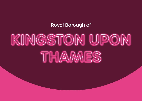### Royal Borough of

# **KINGSTON UPON THAMES**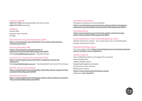#### Contact details:

**0208 547 5001** (Housing Benefits and Council Tax) **0208 547 5003** (Housing)

#### Address:

PO Box 1550 Kingston upon Thames **KT1 97B** 

#### Discretionary Housing Payments (DHP)

**[https://www.kingston.gov.uk/benefits-5/can-apply-discretionary](https://www.kingston.gov.uk/benefits-5/can-apply-discretionary-housing-payments/1)[housing-payments/1](https://www.kingston.gov.uk/benefits-5/can-apply-discretionary-housing-payments/1)**

#### Housing Benefits (HB)

**[https://www.kingston.gov.uk/benefits-5/](https://www.kingston.gov.uk/benefits-5/applying/2?documentId=58&categoryId=20090) [applying/2?documentId=58&categoryId=20090](https://www.kingston.gov.uk/benefits-5/applying/2?documentId=58&categoryId=20090)** Email: **[housing@kingston.gov.uk](mailto:housing@kingston.gov.uk)** – Housing enquiry

#### Council Tax/ Council Tax reduction (CTR)

**[https://www.kingston.gov.uk/benefits-5/applying-council-tax](https://www.kingston.gov.uk/benefits-5/applying-council-tax-reduction/1)[reduction/1](https://www.kingston.gov.uk/benefits-5/applying-council-tax-reduction/1)** Email: **[benefits@kingston.gov.uk](mailto:benefits@kingston.gov.uk)** – Housing Benefit and Council Tax enquiry

#### Benefit advice and support

**[https://www.kingston.gov.uk/benefits-5/benefits-advice-support/4?doc](https://www.kingston.gov.uk/benefits-5/benefits-advice-support/4?documentId=617&categoryId=20090) [umentId=617&categoryId=20090](https://www.kingston.gov.uk/benefits-5/benefits-advice-support/4?documentId=617&categoryId=20090)**

#### Sponsored moves

**[https://www.kingston.gov.uk/housing-options-advice/options-moving/2](https://www.kingston.gov.uk/housing-options-advice/options-moving/2?documentId=291&categoryId=20195) [?documentId=291&categoryId=20195](https://www.kingston.gov.uk/housing-options-advice/options-moving/2?documentId=291&categoryId=20195)**

#### Homeless Prevention

Emergency temporary accommodation **[https://www.kingston.gov.uk/housing-options-advice/emergency](https://www.kingston.gov.uk/housing-options-advice/emergency-temporary-accommodation?documentId=701&categoryId=20195)[temporary-accommodation?documentId=701&categoryId=20195](https://www.kingston.gov.uk/housing-options-advice/emergency-temporary-accommodation?documentId=701&categoryId=20195)**

#### Housing Advice

**[https://www.kingston.gov.uk/housing-options-advice/housing](https://www.kingston.gov.uk/housing-options-advice/housing-advice?documentId=297&categoryId=20195)[advice?documentId=297&categoryId=20195](https://www.kingston.gov.uk/housing-options-advice/housing-advice?documentId=297&categoryId=20195)**

#### Local Assistance Crisis Loans/Budgeting Loans

Warmer Homes for London – You could receive up to a £4,000 grant. Energy improvement works

#### Disabled facilities grant

You must apply online: **[https://www.kingston.gov.uk/housing-property/](https://www.kingston.gov.uk/housing-property/grants-standard-rules-conditions/1) [grants-standard-rules-conditions/1](https://www.kingston.gov.uk/housing-property/grants-standard-rules-conditions/1)**

#### Citizens Advice

Free confidential advice and support for everyone. Debt management Welfare Benefit advice Budgeting/Budgeting calculator Coronavirus money worries Employment advice **<https://www.citizensadvicekingston.org.uk/>** Telephone: **020 31660953**

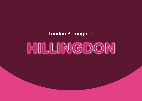### London Borough of

# **HILLINGDON**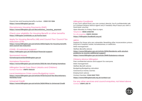Council tax and housing benefits number - **0300 123 1384 <https://www.hillingdon.gov.uk/>**

Discretionary Housing Payments (DHP) **[https://www.hillingdon.gov.uk/discretionary\\_housing\\_payment](https://www.hillingdon.gov.uk/discretionary_housing_payment)**

Check your eligibility for Housing Benefit or other benefits **<https://hillingdon.entitledto.co.uk/home/start>**

#### Apply for Housing Benefits (HB) and Council Tax/ Council Tax reduction (CTR)

**[https://www.hillingdon.gov.uk/article/2402/Apply-for-housing-benefit](https://www.hillingdon.gov.uk/article/2402/Apply-for-housing-benefit-and-council-tax-reduction)[and-council-tax-reduction](https://www.hillingdon.gov.uk/article/2402/Apply-for-housing-benefit-and-council-tax-reduction)**

COVID -19 individual support **<https://hillingdon.gov.uk/individual-financial-support>**

Sponsored moves **[homelessprevention@hillingdon.gov.uk](mailto:homelessprevention@hillingdon.gov.uk)**

Homeless Prevention **<https://www.hillingdon.gov.uk/article/2153/At-risk-of-being-homeless>**

Hillingdon Social Care Direct (Adults and Children) Contact Number: **01895 556633**

Local Assistance Crisis Loans/Budgeting Loans **[https://www.hillingdon.gov.uk/article/4733/Council-Tax-Discretionary-](https://www.hillingdon.gov.uk/article/4733/Council-Tax-Discretionary-Hardship-Fund)[Hardship-Fund](https://www.hillingdon.gov.uk/article/4733/Council-Tax-Discretionary-Hardship-Fund)**

Universal Credit **[https://www.hillingdon.gov.uk/article/2424/What-is-Universal-Credit](https://www.hillingdon.gov.uk/article/2424/What-is-Universal-Credit )**

#### Hillingdon Foodbank

If you can't afford food, you can contact directly. You'll confidentially talk to a trained Citizens Advice agent and, if needed, they'll issue you with a food bank voucher.

Open Monday to Friday, 10am to 4pm.

Telephone: **0808 2082138** 

For all enquiries: **01895 252224** 

**<https://hillingdon.foodbank.org.uk/>**

#### ARCH

Support for those who are vulnerable. Resettling after incarceration; prison, long term hospital, hostel, homelessness, or addiction.

Debt management

Welfare Benefits Advice

**[https://www.hillingdon.gov.uk/article/2094/Residents-with-alcohol](https://www.hillingdon.gov.uk/article/2094/Residents-with-alcohol-problems-to-receive-additional-support)[problems-to-receive-additional-support](https://www.hillingdon.gov.uk/article/2094/Residents-with-alcohol-problems-to-receive-additional-support)**

**<https://www.hillingdon.gov.uk/article/3949/Substance-misuse>**

#### Citizens Advice Hillingdon

Free confidential advice and support for everyone. Debt management Welfare Benefit advice Budgeting/Budgeting calculator Coronavirus money worries Employment advice Contact Number: **0344 848 7903 <https://www.hillingdoncab.org.uk/contact-us/>**

For any other services and council enquiries, not listed above. Contact **01895 250 111** 

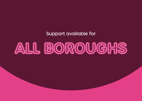Support available for

## **ALL BOROUGHS**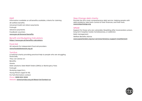#### DWP

Information available on all benefits available, criteria for claiming All welfare benefits Universal Credit rent direct payments Furlough Advance payments Foodbank vouchers **[www.gov.uk/browse/benefits](http://www.gov.uk/browse/benefits)**

#### Benefit and Budgeting Calculators

**<https://www.gov.uk/benefits-calculators>**

#### Food Aid

UK network for independent food aid providers **[www.foodaidnetwork.org.uk](http://www.foodaidnetwork.org.uk)**

#### Turn2us

A national charity providing practical help to people who are struggling financially. They can advise on: Benefits **Grants** Debt solutions: Debt Relief Orders (DROs) or Bankruptcy Fees Furlough Studying (aged 16+), Young Person (aged 16-18) For full information contact [Phone](https://www.google.com/search?rlz=1C1WPZC_enGB870GB871&q=turn2us+london+phone&ludocid=14236280375285152654&sa=X&ved=2ahUKEwjE_6jj19rwAhUFg_0HHZzuCS8Q6BMwEnoECB0QAg): **[0808 802 2000](https://www.google.com/search?gs_ssp=eJzj4tFP1zfMSLY0KTQzrzBgtFI1qDCxMDczSEtLTTQ1t0w2TkqxMqhINrU0NEuxNDYwTko2T7JI9eIvKS3KMyotVkjOSCzKLKkEALfWFQc&q=turn2us+charity&rlz=1C1WPZC_enGB870GB871&oq=turn2Us&aqs=chrome.4.0i433j0l3j46i175i199j0l4.11141j0j7&sourceid=chrome&ie=UTF-8)**  Website: **[www.turn2us.org.uk/About-Us/Contact-us](http://www.turn2us.org.uk/About-Us/Contact-us)**

#### Step Change debt charity

Provide the UK's most comprehensive debt service. Helping people with debt problems, take back control of their finances, and their lives. **[www.stepchange.org](http://www.stepchange.org)**

#### SPEAR

Support for those who are vulnerable. Resettling after incarceration; prison, long term hospital, hostel, homelessness, or addiction. Debt management Welfare Benefits Advice **[www.spearlondon.org/our-services/tenancy-support-resettlement](http://www.spearlondon.org/our-services/tenancy-support-resettlement)**